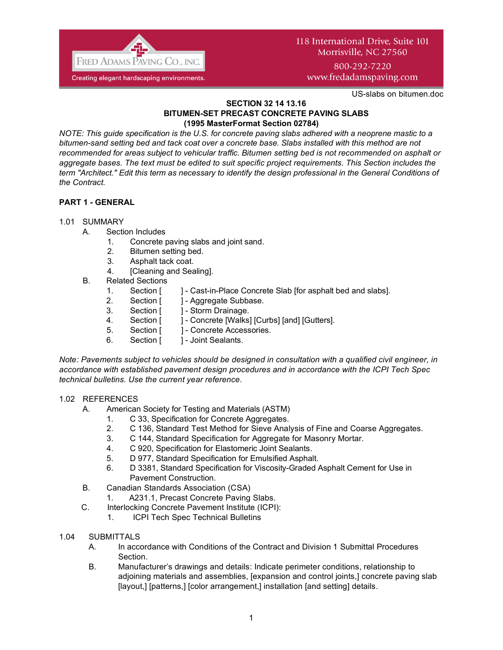

# 118 International Drive, Suite 101 Morrisville, NC 27560

800-292-7220 www.fredadamspaving.com

US-slabs on bitumen.doc

#### **SECTION 32 14 13.16 BITUMEN-SET PRECAST CONCRETE PAVING SLABS (1995 MasterFormat Section 02784)**

*NOTE: This guide specification is the U.S. for concrete paving slabs adhered with a neoprene mastic to a bitumen-sand setting bed and tack coat over a concrete base. Slabs installed with this method are not recommended for areas subject to vehicular traffic. Bitumen setting bed is not recommended on asphalt or aggregate bases. The text must be edited to suit specific project requirements. This Section includes the term "Architect." Edit this term as necessary to identify the design professional in the General Conditions of the Contract.*

## **PART 1 - GENERAL**

- 1.01 SUMMARY
	- A. Section Includes
		- 1. Concrete paving slabs and joint sand.
		- 2. Bitumen setting bed.
		- 3. Asphalt tack coat.
		- 4. [Cleaning and Sealing].
	- B. Related Sections
		- 1. Section [ ] Cast-in-Place Concrete Slab [for asphalt bed and slabs].
		- 2. Section [ ] Aggregate Subbase.
		- 3. Section [ ] Storm Drainage.
		- 4. Section [ ] Concrete [Walks] [Curbs] [and] [Gutters].
		- 5. Section [ ] Concrete Accessories.
		- 6. Section [ ] Joint Sealants.

*Note: Pavements subject to vehicles should be designed in consultation with a qualified civil engineer, in accordance with established pavement design procedures and in accordance with the ICPI Tech Spec technical bulletins. Use the current year reference.* 

## 1.02 REFERENCES

- A. American Society for Testing and Materials (ASTM)
	- 1. C 33, Specification for Concrete Aggregates.
	- 2. C 136, Standard Test Method for Sieve Analysis of Fine and Coarse Aggregates.
	- 3. C 144, Standard Specification for Aggregate for Masonry Mortar.
	- 4. C 920, Specification for Elastomeric Joint Sealants.
	- 5. D 977, Standard Specification for Emulsified Asphalt.
	- 6. D 3381, Standard Specification for Viscosity-Graded Asphalt Cement for Use in Pavement Construction.
- B. Canadian Standards Association (CSA)
	- 1. A231.1, Precast Concrete Paving Slabs.
- C. Interlocking Concrete Pavement Institute (ICPI):
	- 1. ICPI Tech Spec Technical Bulletins
- 1.04 SUBMITTALS
	- A. In accordance with Conditions of the Contract and Division 1 Submittal Procedures Section.
	- B. Manufacturer's drawings and details: Indicate perimeter conditions, relationship to adjoining materials and assemblies, [expansion and control joints,] concrete paving slab [layout,] [patterns,] [color arrangement,] installation [and setting] details.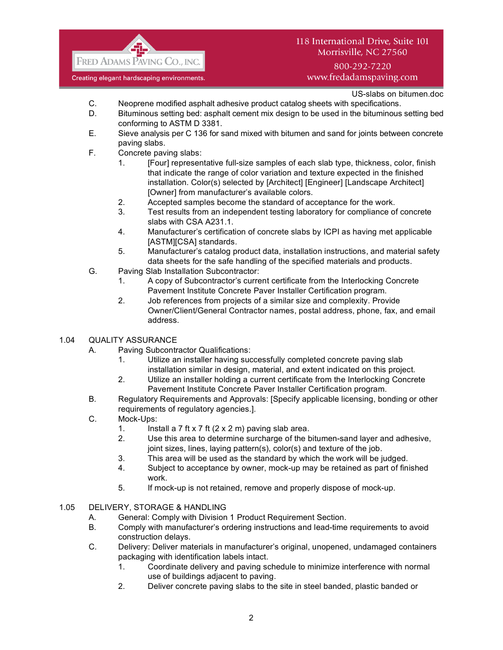

## 118 International Drive, Suite 101 Morrisville, NC 27560

800-292-7220 www.fredadamspaving.com

US-slabs on bitumen.doc

- C. Neoprene modified asphalt adhesive product catalog sheets with specifications.
- D. Bituminous setting bed: asphalt cement mix design to be used in the bituminous setting bed conforming to ASTM D 3381.
- E. Sieve analysis per C 136 for sand mixed with bitumen and sand for joints between concrete paving slabs.
- F. Concrete paving slabs:
	- 1. [Four] representative full-size samples of each slab type, thickness, color, finish that indicate the range of color variation and texture expected in the finished installation. Color(s) selected by [Architect] [Engineer] [Landscape Architect] [Owner] from manufacturer's available colors.
	- 2. Accepted samples become the standard of acceptance for the work.
	- 3. Test results from an independent testing laboratory for compliance of concrete slabs with CSA A231.1.
	- 4. Manufacturer's certification of concrete slabs by ICPI as having met applicable [ASTM][CSA] standards.
	- 5. Manufacturer's catalog product data, installation instructions, and material safety data sheets for the safe handling of the specified materials and products.
- G. Paving Slab Installation Subcontractor:
	- 1. A copy of Subcontractor's current certificate from the Interlocking Concrete Pavement Institute Concrete Paver Installer Certification program.
	- 2. Job references from projects of a similar size and complexity. Provide Owner/Client/General Contractor names, postal address, phone, fax, and email address.
- 1.04 QUALITY ASSURANCE
	- A. Paving Subcontractor Qualifications:
		- 1. Utilize an installer having successfully completed concrete paving slab installation similar in design, material, and extent indicated on this project.
		- 2. Utilize an installer holding a current certificate from the Interlocking Concrete Pavement Institute Concrete Paver Installer Certification program.
	- B. Regulatory Requirements and Approvals: [Specify applicable licensing, bonding or other requirements of regulatory agencies.].
	- C. Mock-Ups:
		- 1. Install a 7 ft x 7 ft  $(2 \times 2 \text{ m})$  paving slab area.
		- 2. Use this area to determine surcharge of the bitumen-sand layer and adhesive, joint sizes, lines, laying pattern(s), color(s) and texture of the job.
		- 3. This area will be used as the standard by which the work will be judged.
		- 4. Subject to acceptance by owner, mock-up may be retained as part of finished work.
		- 5. If mock-up is not retained, remove and properly dispose of mock-up.
- 1.05 DELIVERY, STORAGE & HANDLING
	- A. General: Comply with Division 1 Product Requirement Section.
	- B. Comply with manufacturer's ordering instructions and lead-time requirements to avoid construction delays.
	- C. Delivery: Deliver materials in manufacturer's original, unopened, undamaged containers packaging with identification labels intact.
		- 1. Coordinate delivery and paving schedule to minimize interference with normal use of buildings adjacent to paving.
		- 2. Deliver concrete paving slabs to the site in steel banded, plastic banded or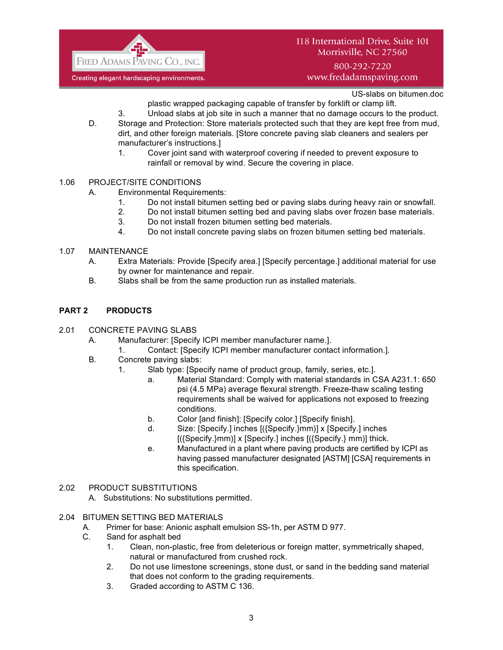

## 118 International Drive, Suite 101 Morrisville, NC 27560

800-292-7220 www.fredadamspaving.com

US-slabs on bitumen.doc

- plastic wrapped packaging capable of transfer by forklift or clamp lift.
- 3. Unload slabs at job site in such a manner that no damage occurs to the product.
- D. Storage and Protection: Store materials protected such that they are kept free from mud, dirt, and other foreign materials. [Store concrete paving slab cleaners and sealers per manufacturer's instructions.]
	- 1. Cover joint sand with waterproof covering if needed to prevent exposure to rainfall or removal by wind. Secure the covering in place.

## 1.06 PROJECT/SITE CONDITIONS

- A. Environmental Requirements:
	- 1. Do not install bitumen setting bed or paving slabs during heavy rain or snowfall.
	- 2. Do not install bitumen setting bed and paving slabs over frozen base materials.
	- 3. Do not install frozen bitumen setting bed materials.
	- 4. Do not install concrete paving slabs on frozen bitumen setting bed materials.

#### 1.07 MAINTENANCE

- A. Extra Materials: Provide [Specify area.] [Specify percentage.] additional material for use by owner for maintenance and repair.
- B. Slabs shall be from the same production run as installed materials.

#### **PART 2 PRODUCTS**

- 2.01 CONCRETE PAVING SLABS
	- A. Manufacturer: [Specify ICPI member manufacturer name.].
		- 1. Contact: [Specify ICPI member manufacturer contact information.].
	- B. Concrete paving slabs:
		- 1. Slab type: [Specify name of product group, family, series, etc.].
			- a. Material Standard: Comply with material standards in CSA A231.1: 650 psi (4.5 MPa) average flexural strength. Freeze-thaw scaling testing requirements shall be waived for applications not exposed to freezing conditions.
			- b. Color [and finish]: [Specify color.] [Specify finish].
			- d. Size: [Specify.] inches [({Specify.}mm)] x [Specify.] inches  $[(\text{Specify.}\}m\text{m})] \times [\text{Specify.}]$  inches  $[(\text{Specify.}\}m\text{m})]$  thick.
			- e. Manufactured in a plant where paving products are certified by ICPI as having passed manufacturer designated [ASTM] [CSA] requirements in this specification.

## 2.02 PRODUCT SUBSTITUTIONS

A. Substitutions: No substitutions permitted.

#### 2.04 BITUMEN SETTING BED MATERIALS

- A. Primer for base: Anionic asphalt emulsion SS-1h, per ASTM D 977.
- C. Sand for asphalt bed
	- 1. Clean, non-plastic, free from deleterious or foreign matter, symmetrically shaped, natural or manufactured from crushed rock.
	- 2. Do not use limestone screenings, stone dust, or sand in the bedding sand material that does not conform to the grading requirements.
	- 3. Graded according to ASTM C 136.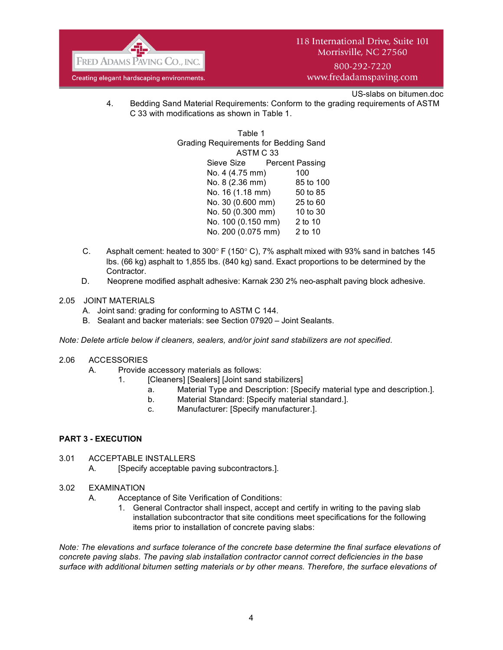

www.fredadamspaving.com

US-slabs on bitumen.doc

4. Bedding Sand Material Requirements: Conform to the grading requirements of ASTM C 33 with modifications as shown in Table 1.

> Table 1 Grading Requirements for Bedding Sand ASTM C 33 Sieve Size Percent Passing No. 4 (4.75 mm) 100 No. 8 (2.36 mm) 85 to 100 No. 16 (1.18 mm) 50 to 85 No. 30 (0.600 mm) 25 to 60 No. 50 (0.300 mm) 10 to 30 No. 100 (0.150 mm) 2 to 10 No. 200 (0.075 mm) 2 to 10

- C. Asphalt cement: heated to 300 $\degree$  F (150 $\degree$  C), 7% asphalt mixed with 93% sand in batches 145 lbs. (66 kg) asphalt to 1,855 lbs. (840 kg) sand. Exact proportions to be determined by the Contractor.
- D. Neoprene modified asphalt adhesive: Karnak 230 2% neo-asphalt paving block adhesive.
- 2.05 JOINT MATERIALS
	- A. Joint sand: grading for conforming to ASTM C 144.
	- B. Sealant and backer materials: see Section 07920 Joint Sealants.
- *Note: Delete article below if cleaners, sealers, and/or joint sand stabilizers are not specified.*
- 2.06 ACCESSORIES
	- A. Provide accessory materials as follows:
		- 1. **[Cleaners] [Sealers] [Joint sand stabilizers]** 
			- a. Material Type and Description: [Specify material type and description.].
			- b. Material Standard: [Specify material standard.].
			- c. Manufacturer: [Specify manufacturer.].

## **PART 3 - EXECUTION**

- 3.01 ACCEPTABLE INSTALLERS
	- A. [Specify acceptable paving subcontractors.].
- 3.02 EXAMINATION
	- A. Acceptance of Site Verification of Conditions:
		- 1. General Contractor shall inspect, accept and certify in writing to the paving slab installation subcontractor that site conditions meet specifications for the following items prior to installation of concrete paving slabs:

*Note: The elevations and surface tolerance of the concrete base determine the final surface elevations of concrete paving slabs. The paving slab installation contractor cannot correct deficiencies in the base surface with additional bitumen setting materials or by other means. Therefore, the surface elevations of*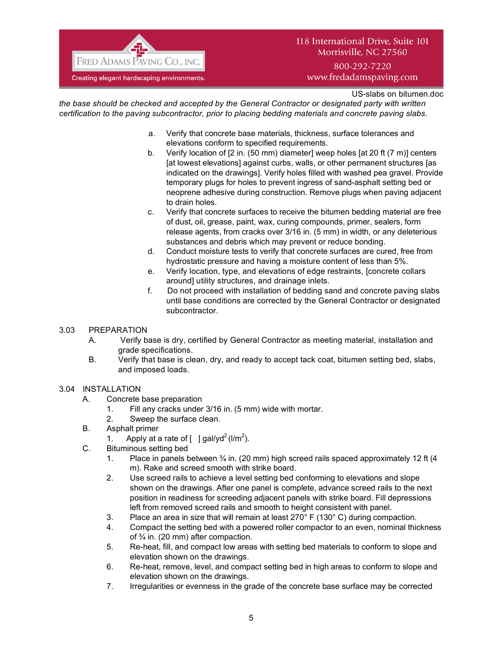

www.fredadamspaving.com

US-slabs on bitumen.doc

*the base should be checked and accepted by the General Contractor or designated party with written certification to the paving subcontractor, prior to placing bedding materials and concrete paving slabs.*

- a. Verify that concrete base materials, thickness, surface tolerances and elevations conform to specified requirements.
- b. Verify location of  $[2 \text{ in. } (50 \text{ mm})$  diameter] weep holes  $[\text{at 20 ft } (7 \text{ m})]$  centers [at lowest elevations] against curbs, walls, or other permanent structures [as indicated on the drawings]. Verify holes filled with washed pea gravel. Provide temporary plugs for holes to prevent ingress of sand-asphalt setting bed or neoprene adhesive during construction. Remove plugs when paving adjacent to drain holes.
- c. Verify that concrete surfaces to receive the bitumen bedding material are free of dust, oil, grease, paint, wax, curing compounds, primer, sealers, form release agents, from cracks over 3/16 in. (5 mm) in width, or any deleterious substances and debris which may prevent or reduce bonding.
- d. Conduct moisture tests to verify that concrete surfaces are cured, free from hydrostatic pressure and having a moisture content of less than 5%.
- e. Verify location, type, and elevations of edge restraints, [concrete collars around] utility structures, and drainage inlets.
- f. Do not proceed with installation of bedding sand and concrete paving slabs until base conditions are corrected by the General Contractor or designated subcontractor.

## 3.03 PREPARATION

- A. Verify base is dry, certified by General Contractor as meeting material, installation and grade specifications.
- B. Verify that base is clean, dry, and ready to accept tack coat, bitumen setting bed, slabs, and imposed loads.

## 3.04 INSTALLATION

- A. Concrete base preparation
	- 1. Fill any cracks under 3/16 in. (5 mm) wide with mortar.
	- 2. Sweep the surface clean.
- B. Asphalt primer
	- 1. Apply at a rate of  $\left[\right]$  gal/yd<sup>2</sup> (l/m<sup>2</sup>).
- C. Bituminous setting bed
	- 1. Place in panels between  $\frac{3}{4}$  in. (20 mm) high screed rails spaced approximately 12 ft (4 m). Rake and screed smooth with strike board.
	- 2. Use screed rails to achieve a level setting bed conforming to elevations and slope shown on the drawings. After one panel is complete, advance screed rails to the next position in readiness for screeding adjacent panels with strike board. Fill depressions left from removed screed rails and smooth to height consistent with panel.
	- 3. Place an area in size that will remain at least 270° F (130° C) during compaction.
	- 4. Compact the setting bed with a powered roller compactor to an even, nominal thickness of ¾ in. (20 mm) after compaction.
	- 5. Re-heat, fill, and compact low areas with setting bed materials to conform to slope and elevation shown on the drawings.
	- 6. Re-heat, remove, level, and compact setting bed in high areas to conform to slope and elevation shown on the drawings.
	- 7. Irregularities or evenness in the grade of the concrete base surface may be corrected